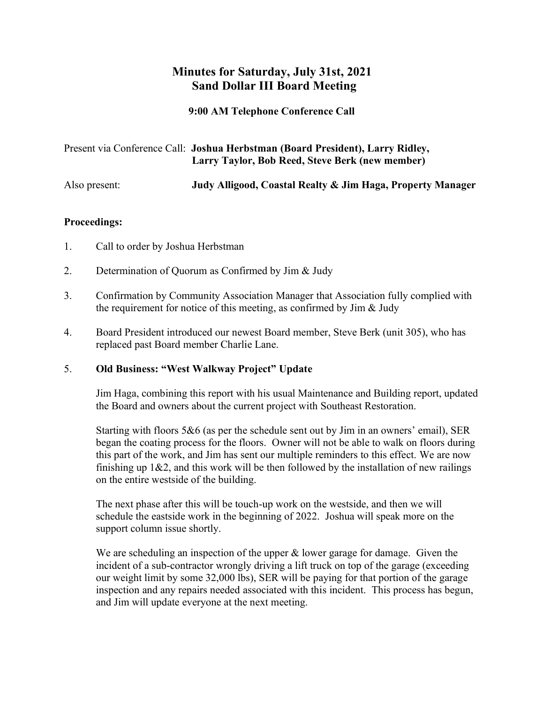# **Minutes for Saturday, July 31st, 2021 Sand Dollar III Board Meeting**

**9:00 AM Telephone Conference Call**

|               | Present via Conference Call: Joshua Herbstman (Board President), Larry Ridley,<br>Larry Taylor, Bob Reed, Steve Berk (new member) |
|---------------|-----------------------------------------------------------------------------------------------------------------------------------|
| Also present: | Judy Alligood, Coastal Realty & Jim Haga, Property Manager                                                                        |

## **Proceedings:**

- 1. Call to order by Joshua Herbstman
- 2. Determination of Quorum as Confirmed by Jim & Judy
- 3. Confirmation by Community Association Manager that Association fully complied with the requirement for notice of this meeting, as confirmed by Jim & Judy
- 4. Board President introduced our newest Board member, Steve Berk (unit 305), who has replaced past Board member Charlie Lane.

## 5. **Old Business: "West Walkway Project" Update**

Jim Haga, combining this report with his usual Maintenance and Building report, updated the Board and owners about the current project with Southeast Restoration.

Starting with floors 5&6 (as per the schedule sent out by Jim in an owners' email), SER began the coating process for the floors. Owner will not be able to walk on floors during this part of the work, and Jim has sent our multiple reminders to this effect. We are now finishing up  $1&2$ , and this work will be then followed by the installation of new railings on the entire westside of the building.

The next phase after this will be touch-up work on the westside, and then we will schedule the eastside work in the beginning of 2022. Joshua will speak more on the support column issue shortly.

We are scheduling an inspection of the upper  $\&$  lower garage for damage. Given the incident of a sub-contractor wrongly driving a lift truck on top of the garage (exceeding our weight limit by some 32,000 lbs), SER will be paying for that portion of the garage inspection and any repairs needed associated with this incident. This process has begun, and Jim will update everyone at the next meeting.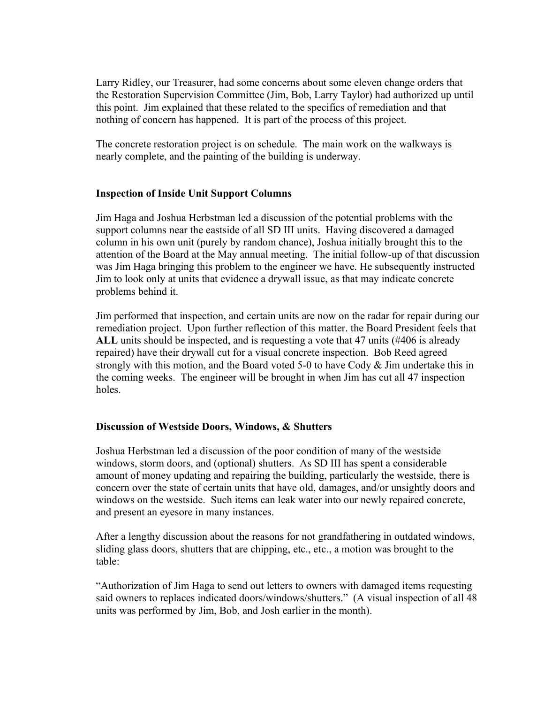Larry Ridley, our Treasurer, had some concerns about some eleven change orders that the Restoration Supervision Committee (Jim, Bob, Larry Taylor) had authorized up until this point. Jim explained that these related to the specifics of remediation and that nothing of concern has happened. It is part of the process of this project.

The concrete restoration project is on schedule. The main work on the walkways is nearly complete, and the painting of the building is underway.

## **Inspection of Inside Unit Support Columns**

Jim Haga and Joshua Herbstman led a discussion of the potential problems with the support columns near the eastside of all SD III units. Having discovered a damaged column in his own unit (purely by random chance), Joshua initially brought this to the attention of the Board at the May annual meeting. The initial follow-up of that discussion was Jim Haga bringing this problem to the engineer we have. He subsequently instructed Jim to look only at units that evidence a drywall issue, as that may indicate concrete problems behind it.

Jim performed that inspection, and certain units are now on the radar for repair during our remediation project. Upon further reflection of this matter. the Board President feels that **ALL** units should be inspected, and is requesting a vote that 47 units (#406 is already repaired) have their drywall cut for a visual concrete inspection. Bob Reed agreed strongly with this motion, and the Board voted 5-0 to have Cody & Jim undertake this in the coming weeks. The engineer will be brought in when Jim has cut all 47 inspection holes.

#### **Discussion of Westside Doors, Windows, & Shutters**

Joshua Herbstman led a discussion of the poor condition of many of the westside windows, storm doors, and (optional) shutters. As SD III has spent a considerable amount of money updating and repairing the building, particularly the westside, there is concern over the state of certain units that have old, damages, and/or unsightly doors and windows on the westside. Such items can leak water into our newly repaired concrete, and present an eyesore in many instances.

After a lengthy discussion about the reasons for not grandfathering in outdated windows, sliding glass doors, shutters that are chipping, etc., etc., a motion was brought to the table:

"Authorization of Jim Haga to send out letters to owners with damaged items requesting said owners to replaces indicated doors/windows/shutters." (A visual inspection of all 48 units was performed by Jim, Bob, and Josh earlier in the month).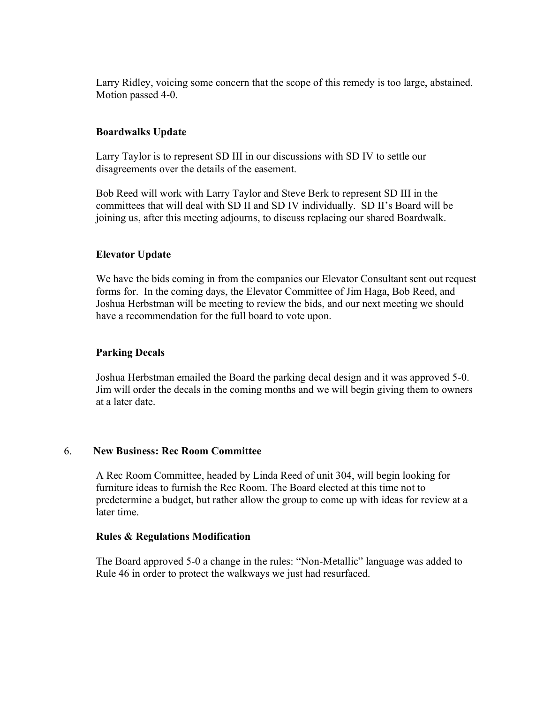Larry Ridley, voicing some concern that the scope of this remedy is too large, abstained. Motion passed 4-0.

### **Boardwalks Update**

Larry Taylor is to represent SD III in our discussions with SD IV to settle our disagreements over the details of the easement.

Bob Reed will work with Larry Taylor and Steve Berk to represent SD III in the committees that will deal with SD II and SD IV individually. SD II's Board will be joining us, after this meeting adjourns, to discuss replacing our shared Boardwalk.

## **Elevator Update**

We have the bids coming in from the companies our Elevator Consultant sent out request forms for. In the coming days, the Elevator Committee of Jim Haga, Bob Reed, and Joshua Herbstman will be meeting to review the bids, and our next meeting we should have a recommendation for the full board to vote upon.

#### **Parking Decals**

Joshua Herbstman emailed the Board the parking decal design and it was approved 5-0. Jim will order the decals in the coming months and we will begin giving them to owners at a later date.

#### 6. **New Business: Rec Room Committee**

A Rec Room Committee, headed by Linda Reed of unit 304, will begin looking for furniture ideas to furnish the Rec Room. The Board elected at this time not to predetermine a budget, but rather allow the group to come up with ideas for review at a later time.

#### **Rules & Regulations Modification**

The Board approved 5-0 a change in the rules: "Non-Metallic" language was added to Rule 46 in order to protect the walkways we just had resurfaced.